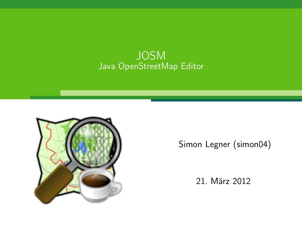#### **JOSM** Java OpenStreetMap Editor



Simon Legner (simon04)

21. März 2012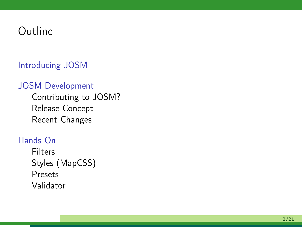## Outline

#### [Introducing JOSM](#page-2-0)

#### [JOSM Development](#page-4-0)

[Contributing to JOSM?](#page-5-0) [Release Concept](#page-9-0) [Recent Changes](#page-10-0)

#### [Hands On](#page-11-0)

[Filters](#page-12-0) [Styles \(MapCSS\)](#page-13-0) [Presets](#page-16-0) [Validator](#page-19-0)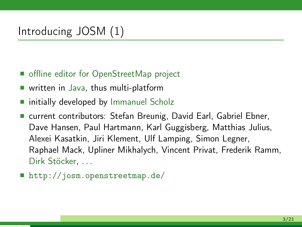## [Introducing JOSM](#page-2-0) (1)

- offline editor for OpenStreetMap project
- written in Java, thus multi-platform
- $\blacksquare$  initially developed by Immanuel Scholz
- current contributors: Stefan Breunig, David Earl, Gabriel Ebner, Dave Hansen, Paul Hartmann, Karl Guggisberg, Matthias Julius, Alexei Kasatkin, Jiri Klement, Ulf Lamping, Simon Legner, Raphael Mack, Upliner Mikhalych, Vincent Privat, Frederik Ramm, Dirk Stöcker...
- <span id="page-2-0"></span>■ <http://josm.openstreetmap.de/>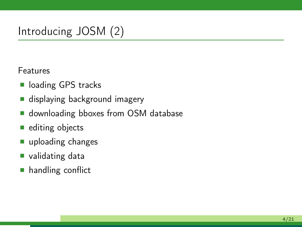## [Introducing JOSM](#page-2-0) (2)

Features

- loading GPS tracks
- displaying background imagery
- **downloading bboxes from OSM database**
- $\blacksquare$  editing objects
- uploading changes
- validating data
- **handling conflict**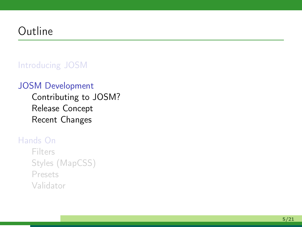## Outline

#### [Introducing JOSM](#page-2-0)

#### [JOSM Development](#page-4-0)

[Contributing to JOSM?](#page-5-0) [Release Concept](#page-9-0) [Recent Changes](#page-10-0)

#### [Hands On](#page-11-0)

<span id="page-4-0"></span>[Filters](#page-12-0) [Styles \(MapCSS\)](#page-13-0) [Presets](#page-16-0) [Validator](#page-19-0)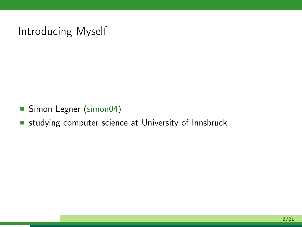## Introducing Myself

- Simon Legner [\(simon04\)](http://www.openstreetmap.org/user/simon04)
- <span id="page-5-0"></span>**studying computer science at University of Innsbruck**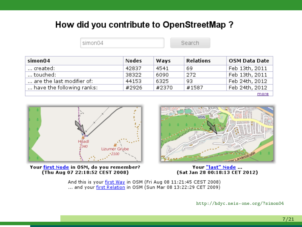#### How did you contribute to OpenStreetMap ?

|                           | simon04 |       |                  |                      |
|---------------------------|---------|-------|------------------|----------------------|
| simon04                   | Nodes   | Ways  | <b>Relations</b> | <b>OSM Data Date</b> |
| created:                  | 42837   | 4541  | 69               | Feb 13th, 2011       |
| touched:                  | 38322   | 6090  | 272              | Feb 13th, 2011       |
| are the last modifier of: | 44153   | 6325  | 93               | Feb 24th, 2012       |
| have the following ranks: | #2926   | #2370 | #1587            | Feb 24th, 2012       |
|                           |         |       |                  | more                 |



Your first Node in OSM, do you remember? (Thu Aug 07 22:18:52 CEST 2008)



Your "last" Node ... (Sat Jan 28 00:18:13 CET 2012)

And this is your first Way in OSM (Fri Aug 08 11:21:45 CEST 2008) ... and your first Relation in OSM (Sun Mar 08 13:22:29 CET 2009)

<http://hdyc.neis-one.org/?simon04>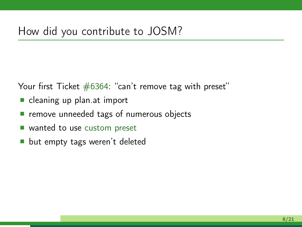Your first Ticket  $#6364$ : "can't remove tag with preset"

- cleaning up plan.at import
- **P** remove unneeded tags of numerous objects
- wanted to use [custom preset](http://josm.openstreetmap.de/wiki/Presets/plan.at)
- **but empty tags weren't deleted**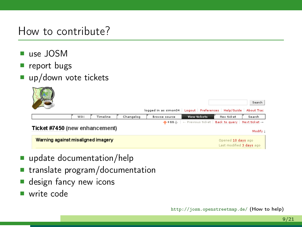#### How to contribute?

- use JOSM
- report bugs
- up/down vote tickets



- update documentation/help
- $\blacksquare$  translate program/documentation
- design fancy new icons
- write code

<http://josm.openstreetmap.de/> (How to help)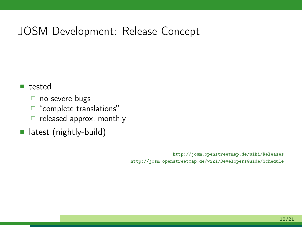## [JOSM Development:](#page-4-0) [Release Concept](#page-9-0)

#### tested

- □ no severe bugs
- "complete translations"
- $\Box$  released approx. monthly
- **latest** (nightly-build)

<span id="page-9-0"></span><http://josm.openstreetmap.de/wiki/Releases> <http://josm.openstreetmap.de/wiki/DevelopersGuide/Schedule>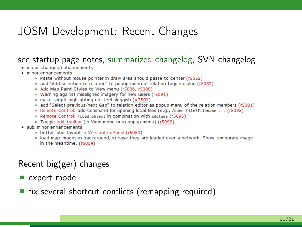## [JOSM Development:](#page-4-0) [Recent Changes](#page-10-0)

## see startup page notes, [summarized changelog,](http://josm.openstreetmap.de/wiki/Changelog) SVN changelog<br>• major changes/enhancements

- 
- $\bullet$  minor enhancements
	- . Paste without mouse pointer in draw area should paste to center (r5052)
	- o add "Add selection to relation" to popup menu of relation toggle dialog (r5082)
	- o Add Map Paint Styles to View menu (r5086, r5088)
	- . Warning against misaligned imagery for new users (r5091)
	- · make target highlighting not feel sluggish (#7503)
	- add "Select previous/next Gap" to relation editor as popup menu of the relation members (r5081)
	- . Remote Control: add command for opening local files (e.g., /open\_file?filename=... (r5085)
	- . Remote Control: /load\_object in combination with addtags (r5095)
	- · Toggle edit toolbar (in View menu or in popup menu) (r5092)
- sub-minor enhancements
	- o better label layout in VersionInfoPanel (r5050)
	- . load map images in background, in case they are loaded over a network. Show temporary image in the meantime. (r5054)

#### Recent big(ger) changes

- expert mode
- <span id="page-10-0"></span> $\blacksquare$  fix several shortcut conflicts (remapping required)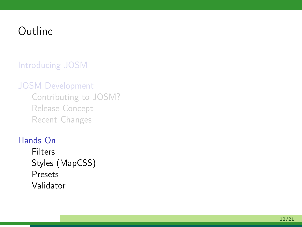## Outline

#### [Introducing JOSM](#page-2-0)

#### [JOSM Development](#page-4-0)

[Contributing to JOSM?](#page-5-0) [Release Concept](#page-9-0) [Recent Changes](#page-10-0)

#### [Hands On](#page-11-0)

<span id="page-11-0"></span>[Filters](#page-12-0) [Styles \(MapCSS\)](#page-13-0) [Presets](#page-16-0) [Validator](#page-19-0)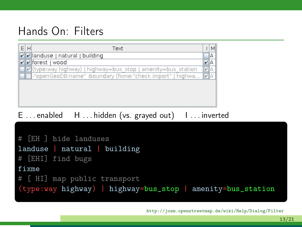## [Hands On:](#page-11-0) [Filters](#page-12-0)

| EH<br>Text                                                                     | м  |  |  |
|--------------------------------------------------------------------------------|----|--|--|
| <b>D</b>   anduse   natural   building                                         | ΙA |  |  |
| $\triangleright$ forest   wood                                                 | VA |  |  |
| <b>7</b> (type:way highway)   highway=bus stop   amenity=bus station           |    |  |  |
| ]-"openGeoDB:name" -boundary (fixme:"check import"   highwa                  / |    |  |  |
|                                                                                |    |  |  |
|                                                                                |    |  |  |

#### E . . . enabled H . . . hidden (vs. grayed out) I . . . inverted

```
# [EH ] hide landuses
landuse | natural | building
# [EHI] find bugs
fixme
# [ HI] map public transport
(type:way highway) | highway=bus_stop | amenity=bus_station
```

```
http://josm.openstreetmap.de/wiki/Help/Dialog/Filter
```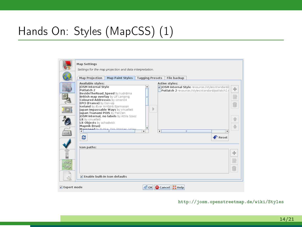## [Hands On:](#page-11-0) [Styles \(MapCSS\)](#page-13-0) (1)

|                    | <b>Map Settings</b>                                                                                                                                                                                           | Settings for the map projection and data interpretation.                                                                |                                |                |                                                                                                        |                               |
|--------------------|---------------------------------------------------------------------------------------------------------------------------------------------------------------------------------------------------------------|-------------------------------------------------------------------------------------------------------------------------|--------------------------------|----------------|--------------------------------------------------------------------------------------------------------|-------------------------------|
|                    | <b>Map Projection</b>                                                                                                                                                                                         | <b>Map Paint Styles</b>                                                                                                 | <b>Tagging Presets</b>         | File backup    |                                                                                                        |                               |
|                    | Available styles:<br><b>JOSM Internal Style</b><br>Potlatch 2<br>British map overlay by Ulf Lamping<br>Coloured Addresses by simon04<br><b>EPCI (France)</b> by Don-vip<br>Iceland by Ævar Arnfjörö Bjarmason | BesideTheRoad Speed by kudrdima                                                                                         |                                | Active styles: | V JOSM Internal Style resource://styles/standard/i<br>Potlatch 2 resource://styles/standard/potlatch2. | ÷                             |
|                    | lapan Tsunami POIS by PierZen<br>Lit by cmuelle8<br>Lit Objects by achadwick<br>Mapnik (true)<br>$\blacksquare$                                                                                               | Japan Impassable Ways by cmuelle8<br>JOSM internal, no labels by Attila Szasz<br>Mayoneed by Rubbe, Dirk Stöcker, Volaw | b<br>¥<br>$\blacktriangleleft$ |                |                                                                                                        |                               |
| $\binom{1}{1}$     | Ø<br>Icon paths:                                                                                                                                                                                              |                                                                                                                         |                                |                |                                                                                                        | $\bigtriangledown$ Reset<br>÷ |
| WMS.<br>TIVIS<br>Ò | Enable built-in icon defaults                                                                                                                                                                                 |                                                                                                                         |                                |                |                                                                                                        | É                             |
| $V$ Expert mode    |                                                                                                                                                                                                               |                                                                                                                         | OK G Cancel Help               |                |                                                                                                        |                               |

#### <span id="page-13-0"></span><http://josm.openstreetmap.de/wiki/Styles>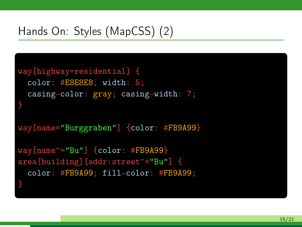## [Hands On:](#page-11-0) [Styles \(MapCSS\)](#page-13-0) (2)

```
way[highway=residential] {
  color: #E8E8E8; width: 5;
  casing-color: gray; casing-width: 7;
}
way[name="Burggraben"] {color: #FB9A99}
way[name^="Bu"] {color: #FB9A99}
area[building][addr:street^="Bu"] {
  color: #FB9A99; fill-color: #FB9A99;
}
```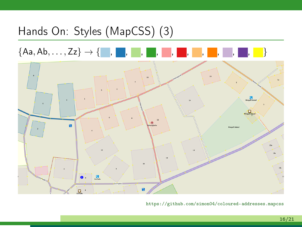# [Hands On:](#page-11-0) [Styles \(MapCSS\)](#page-13-0) (3) {Aa, Ab, . . . , Zz} → { , , , , , , , , , , }  $\overline{12}$ **P**<br>Minigali State **Contract**

 $\mathbf{R}$ 

o,

<https://github.com/simon04/coloured-addresses.mapcss>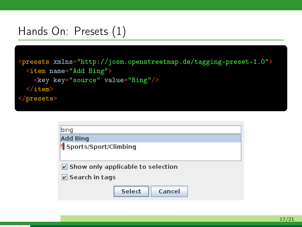### [Hands On:](#page-11-0) [Presets](#page-16-0) (1)

```
<presets xmlns="http://josm.openstreetmap.de/tagging-preset-1.0">
 <item name="Add Bing">
    <key key="source" value="Bing"/>
 \langleitem\rangle</presets>
```
<span id="page-16-0"></span>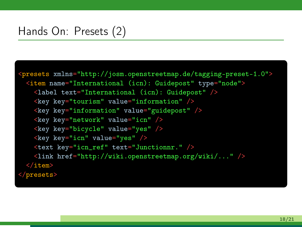## [Hands On:](#page-11-0) [Presets](#page-16-0) (2)

```
<presets xmlns="http://josm.openstreetmap.de/tagging-preset-1.0">
 <item name="International (icn): Guidepost" type="node">
   <label text="International (icn): Guidepost" />
   <key key="tourism" value="information" />
   <key key="information" value="guidepost" />
   \langlekey key="network" value="icn" /<key key="bicycle" value="yes" />
   \langlekey key="icn" value="yes" \rangle<text key="icn_ref" text="Junctionnr." />
   <link href="http://wiki.openstreetmap.org/wiki/..." />
 \langleitem\rangle</presets>
```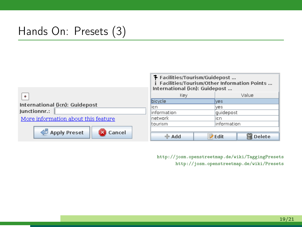## [Hands On:](#page-11-0) [Presets](#page-16-0) (3)

|                                     | T Facilities/Tourism/Guidepost<br>Facilities/Tourism/Other Information Points<br>International (icn): Guidepost |  |               |        |  |
|-------------------------------------|-----------------------------------------------------------------------------------------------------------------|--|---------------|--------|--|
| $\bullet$                           | Key                                                                                                             |  | Value         |        |  |
| International (icn): Guidepost      | bicycle                                                                                                         |  | <b>ves</b>    |        |  |
|                                     | icn                                                                                                             |  | ves           |        |  |
| lunctionnr.:                        | information                                                                                                     |  | quidepost     |        |  |
| More information about this feature | Inetwork                                                                                                        |  | licn          |        |  |
|                                     | tourism                                                                                                         |  | information   |        |  |
|                                     |                                                                                                                 |  |               |        |  |
| Apply Preset<br>Cancel              | $\triangleq$ Add                                                                                                |  | <b>Z</b> Edit | Delete |  |

<http://josm.openstreetmap.de/wiki/TaggingPresets> <http://josm.openstreetmap.de/wiki/Presets>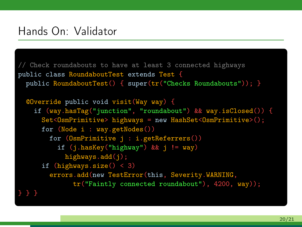#### [Hands On:](#page-11-0) [Validator](#page-19-0)

```
// Check roundabouts to have at least 3 connected highways
public class RoundaboutTest extends Test {
 public RoundaboutTest() { super(tr("Checks Roundabouts")); }
 @Override public void visit(Way way) {
   if (way.hasTag("junction", "roundabout") && way.isClosed()) {
     Set<OsmPrimitive> highways = new HashSet<OsmPrimitive>();
      for (Node i : way.getNodes())
       for (OsmPrimitive j : i.getReferrers())
          if (j.hasKey("highway") && j != way)
            highways.add(j);
      if (highways.size() < 3)
       errors.add(new TestError(this, Severity.WARNING,
              tr("Faintly connected roundabout"), 4200, way));
} } }
```